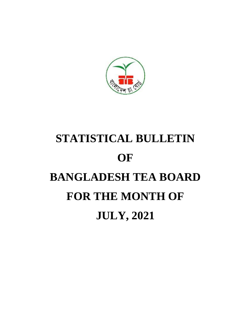

# **STATISTICAL BULLETIN OF BANGLADESH TEA BOARD FOR THE MONTH OF JULY, 2021**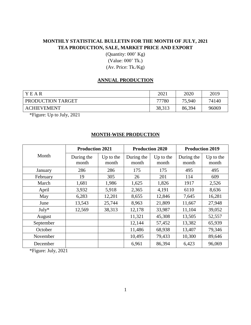## **MONTHLY STATISTICAL BULLETIN FOR THE MONTH OF JULY, 2021 TEA PRODUCTION, SALE, MARKET PRICE AND EXPORT**

(Quantity: 000' Kg) (Value: 000' Tk.) (Av. Price: Tk./Kg)

#### **ANNUAL PRODUCTION**

| Y E AR                                                                                                                                                                                                                                                                                                                                             | 2021   | 2020   | 2019  |
|----------------------------------------------------------------------------------------------------------------------------------------------------------------------------------------------------------------------------------------------------------------------------------------------------------------------------------------------------|--------|--------|-------|
| PRODUCTION TARGET                                                                                                                                                                                                                                                                                                                                  | 77780  | 75,940 | 74140 |
| <b>ACHIEVEMENT</b>                                                                                                                                                                                                                                                                                                                                 | 38,313 | 86,394 | 96069 |
| $\mathbf{A}$<br>$\mathbf{r}$ $\mathbf{r}$ $\mathbf{r}$ $\mathbf{r}$ $\mathbf{r}$ $\mathbf{r}$ $\mathbf{r}$ $\mathbf{r}$ $\mathbf{r}$ $\mathbf{r}$ $\mathbf{r}$ $\mathbf{r}$ $\mathbf{r}$ $\mathbf{r}$ $\mathbf{r}$ $\mathbf{r}$ $\mathbf{r}$ $\mathbf{r}$ $\mathbf{r}$ $\mathbf{r}$ $\mathbf{r}$ $\mathbf{r}$ $\mathbf{r}$ $\mathbf{r}$ $\mathbf{$ |        |        |       |

\*Figure: Up to July, 2021

#### **MONTH-WISE PRODUCTION**

|           | <b>Production 2021</b> |                    |                     | <b>Production 2020</b> | <b>Production 2019</b> |                    |  |
|-----------|------------------------|--------------------|---------------------|------------------------|------------------------|--------------------|--|
| Month     | During the<br>month    | Up to the<br>month | During the<br>month | Up to the<br>month     | During the<br>month    | Up to the<br>month |  |
| January   | 286                    | 286                | 175                 | 175                    | 495                    | 495                |  |
| February  | 19                     | 305                | 26                  | 201                    | 114                    | 609                |  |
| March     | 1,681                  | 1,986              | 1,625               | 1,826                  | 1917                   | 2,526              |  |
| April     | 3,932                  | 5,918              | 2,365               | 4,191                  | 6110                   | 8,636              |  |
| May       | 6,283                  | 12,201             | 8,655               | 12,846                 | 7,645                  | 16,281             |  |
| June      | 13,543                 | 25,744             | 8,963               | 21,809                 | 11,667                 | 27,948             |  |
| $July*$   | 12,569                 | 38,313             | 12,178              | 33,987                 | 11,104                 | 39,052             |  |
| August    |                        |                    | 11,321              | 45,308                 | 13,505                 | 52,557             |  |
| September |                        |                    | 12,144              | 57,452                 | 13,382                 | 65,939             |  |
| October   |                        |                    | 11,486              | 68,938                 | 13,407                 | 79,346             |  |
| November  |                        |                    | 10,495              | 79,433                 | 10,300                 | 89,646             |  |
| December  |                        |                    | 6,961               | 86,394                 | 6,423                  | 96,069             |  |

\*Figure: July, 2021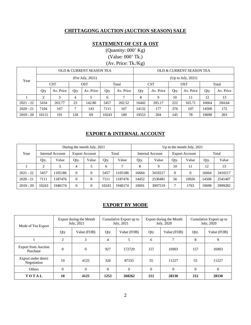#### **CHITTAGONG AUCTION (AUCTION SEASON) SALE**

### **STATEMENT OF CST & OST**

(Quantity: 000' Kg)

(Value: 000' Tk.)

(Av. Price: Tk./Kg)

|             |                               |            |     | OLD & CURRENT SEASON TEA |       |           | OLD & CURRENT SEASON TEA |                       |     |            |       |           |  |  |
|-------------|-------------------------------|------------|-----|--------------------------|-------|-----------|--------------------------|-----------------------|-----|------------|-------|-----------|--|--|
| Year        | (For July, 2021)              |            |     |                          |       |           |                          | (Up to July, $2021$ ) |     |            |       |           |  |  |
|             |                               | <b>CST</b> |     | <b>OST</b>               |       | Total     |                          | <b>CST</b>            |     | <b>OST</b> |       | Total     |  |  |
|             | Qty                           | Av. Price  | Qty | Av. Price                | Qty   | Av. Price | Qty                      | Av. Price             | Qty | Av. Price  | Qty   | Av. Price |  |  |
|             | $\mathfrak{D}_{\mathfrak{p}}$ | 3          | 4   |                          | 6     |           | 8                        | 9                     | 10  | 11         | 12    | 13        |  |  |
| $2021 - 22$ | 5434                          | 202.77     | 23  | 142.80                   | 5457  | 202.52    | 16442                    | 205.17                | 222 | 165.71     | 16664 | 204.64    |  |  |
| $2020 - 21$ | 7104                          | 167        | 7   | 143                      | 7111  | 167       | 14132                    | 177                   | 376 | 107        | 14508 | 172       |  |  |
| $2019 - 20$ | 10115                         | 191        | 128 | 69                       | 10243 | 189       | 19553                    | 204                   | 145 | 78         | 19698 | 203       |  |  |

#### **EXPORT & INTERNAL ACCOUNT**

|             |       |                  |                       | During the month July, 2021 |       |         | Up to the month July, 2021 |         |                       |          |       |         |  |
|-------------|-------|------------------|-----------------------|-----------------------------|-------|---------|----------------------------|---------|-----------------------|----------|-------|---------|--|
| Year        |       | Internal Account | <b>Export Account</b> |                             | Total |         | Internal Account           |         | <b>Export Account</b> |          | Total |         |  |
|             | Qty.  | Value            | Qty.                  | Value                       | Qty.  | Value   | Qty.                       | Value   | Qty.                  | Value    | Qty.  | Value   |  |
|             | ∍     | 3                | 4                     |                             | 6     | ⇁       | 8                          | 9       | 10                    |          | 12    | 13      |  |
| $2021 - 22$ | 5457  | 1105186          | $\Omega$              | $\Omega$                    | 5457  | 1105186 | 16664                      | 3410217 | $\theta$              | $\Omega$ | 16664 | 3410217 |  |
| $2020 - 21$ | 7111  | 1187476          | $\Omega$              | $\Omega$                    | 7111  | 1187476 | 14452                      | 2530481 | 56                    | 10926    | 14508 | 2541407 |  |
| $2019 - 20$ | 10243 | 1940174          | $\Omega$              | $\Omega$                    | 10243 | 1940174 | 19691                      | 3997519 | $\mathbf{r}$          | 1763     | 19698 | 3999282 |  |

#### **EXPORT BY MODE**

| Mode of Tea Export                     |                            | Export during the Month<br>July, 2021 |              | Cumulative Export up to<br>July, 2021 |          | Export during the Month<br>July, 2020 | Cumulative Export up to<br>July, 2020 |             |  |
|----------------------------------------|----------------------------|---------------------------------------|--------------|---------------------------------------|----------|---------------------------------------|---------------------------------------|-------------|--|
|                                        | Qty                        | Value (FOB)                           | Qty          | Value (FOB)                           | Qty      | Value (FOB)                           | Qty.                                  | Value (FOB) |  |
|                                        | $\overline{2}$             | 3                                     | 4            | 5                                     | 6        | π                                     | 8                                     | 9           |  |
| <b>Export from Auction</b><br>Purchase | $\theta$                   | $\overline{0}$                        | 927          | 172729                                | 157      | 16903                                 | 157                                   | 16903       |  |
| Export under direct<br>Negotiation     | 10                         | 4125                                  | 326          | 87533                                 | 55       | 11227                                 | 55                                    | 11227       |  |
| Others                                 | $\theta$<br>$\overline{0}$ |                                       | $\mathbf{0}$ | $\Omega$                              | $\Omega$ | $\Omega$                              | $\overline{0}$                        | $\Omega$    |  |
| TOTAL                                  | 10<br>4125                 |                                       | 1253         | 260262                                | 212      | 28130                                 | 212                                   | 28130       |  |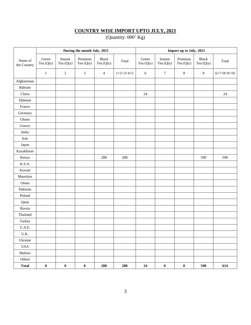#### **COUNTRY WISE IMPORT UPTO JULY, 2021**

(Quantity: 000' Kg)

|                        |                    |                      | During the month July, 2021 |                           |             | Import up to July, 2021 |                      |                      |                    |              |
|------------------------|--------------------|----------------------|-----------------------------|---------------------------|-------------|-------------------------|----------------------|----------------------|--------------------|--------------|
| Name of<br>the Country | Green<br>Tea (Qty) | Instant<br>Tea (Qty) | Premium<br>Tea (Qty)        | <b>Black</b><br>Tea (Qty) | Total       | Green<br>Tea (Qty)      | Instant<br>Tea (Qty) | Premium<br>Tea (Qty) | Black<br>Tea (Qty) | Total        |
|                        | $\mathbf{1}$       | $\overline{c}$       | $\mathfrak{Z}$              | $\overline{4}$            | $1+2+3+4=5$ | 6                       | $\boldsymbol{7}$     | $\,8\,$              | 9                  | $6+7+8+9=10$ |
| Afghanistan            |                    |                      |                             |                           |             |                         |                      |                      |                    |              |
| Bahrain                |                    |                      |                             |                           |             |                         |                      |                      |                    |              |
| China                  |                    |                      |                             |                           |             | 24                      |                      |                      |                    | $24\,$       |
| Djibouti               |                    |                      |                             |                           |             |                         |                      |                      |                    |              |
| France                 |                    |                      |                             |                           |             |                         |                      |                      |                    |              |
| Germany                |                    |                      |                             |                           |             |                         |                      |                      |                    |              |
| Ghana                  |                    |                      |                             |                           |             |                         |                      |                      |                    |              |
| Greece                 |                    |                      |                             |                           |             |                         |                      |                      |                    |              |
| India                  |                    |                      |                             |                           |             |                         |                      |                      |                    |              |
| Iran                   |                    |                      |                             |                           |             |                         |                      |                      |                    |              |
| Japan                  |                    |                      |                             |                           |             |                         |                      |                      |                    |              |
| Kazakhstan             |                    |                      |                             |                           |             |                         |                      |                      |                    |              |
| Kenya                  |                    |                      |                             | 288                       | 288         |                         |                      |                      | 590                | 590          |
| K.S.A.                 |                    |                      |                             |                           |             |                         |                      |                      |                    |              |
| Kuwait                 |                    |                      |                             |                           |             |                         |                      |                      |                    |              |
| Mauritius              |                    |                      |                             |                           |             |                         |                      |                      |                    |              |
| Oman                   |                    |                      |                             |                           |             |                         |                      |                      |                    |              |
| Pakistan               |                    |                      |                             |                           |             |                         |                      |                      |                    |              |
| Poland                 |                    |                      |                             |                           |             |                         |                      |                      |                    |              |
| Qatar                  |                    |                      |                             |                           |             |                         |                      |                      |                    |              |
| Russia                 |                    |                      |                             |                           |             |                         |                      |                      |                    |              |
| Thailand               |                    |                      |                             |                           |             |                         |                      |                      |                    |              |
| Turkey                 |                    |                      |                             |                           |             |                         |                      |                      |                    |              |
| $U.A.E.$               |                    |                      |                             |                           |             |                         |                      |                      |                    |              |
| $U.K.$                 |                    |                      |                             |                           |             |                         |                      |                      |                    |              |
| Ukraine                |                    |                      |                             |                           |             |                         |                      |                      |                    |              |
| <b>USA</b>             |                    |                      |                             |                           |             |                         |                      |                      |                    |              |
| Malawi                 |                    |                      |                             |                           |             |                         |                      |                      |                    |              |
| Others                 |                    |                      |                             |                           |             |                         |                      |                      |                    |              |
| <b>Total</b>           | $\pmb{0}$          | $\pmb{0}$            | $\pmb{0}$                   | 288                       | 288         | 24                      | $\pmb{0}$            | $\pmb{0}$            | 590                | 614          |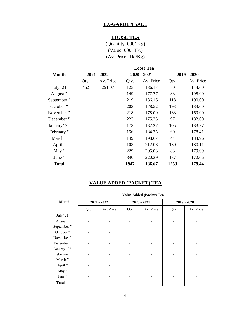#### **EX-GARDEN SALE**

### **LOOSE TEA**

(Quantity: 000' Kg) (Value: 000' Tk.) (Av. Price: Tk./Kg)

|              |      | <b>Loose Tea</b> |      |               |               |           |  |  |  |  |  |  |
|--------------|------|------------------|------|---------------|---------------|-----------|--|--|--|--|--|--|
| Month        |      | $2021 - 2022$    |      | $2020 - 2021$ | $2019 - 2020$ |           |  |  |  |  |  |  |
|              | Qty. | Av. Price        | Qty. | Av. Price     | Qty.          | Av. Price |  |  |  |  |  |  |
| July' 21     | 462  | 251.07           | 125  | 186.17        | 50            | 144.60    |  |  |  |  |  |  |
| August"      |      |                  | 149  | 177.77        | 83            | 195.00    |  |  |  |  |  |  |
| September"   |      |                  | 219  | 186.16        | 118           | 190.00    |  |  |  |  |  |  |
| October "    |      |                  | 203  | 178.52        | 193           | 183.00    |  |  |  |  |  |  |
| November"    |      |                  | 218  | 178.09        | 133           | 169.00    |  |  |  |  |  |  |
| December "   |      |                  | 223  | 175.25        | 97            | 182.00    |  |  |  |  |  |  |
| January' 22  |      |                  | 173  | 182.27        | 105           | 183.77    |  |  |  |  |  |  |
| February "   |      |                  | 156  | 184.75        | 60            | 178.41    |  |  |  |  |  |  |
| March "      |      |                  | 149  | 198.67        | 44            | 184.96    |  |  |  |  |  |  |
| April "      |      |                  | 103  | 212.08        | 150           | 180.11    |  |  |  |  |  |  |
| May "        |      |                  | 229  | 205.03        | 83            | 179.09    |  |  |  |  |  |  |
| June "       |      |                  | 340  | 220.39        | 137           | 172.06    |  |  |  |  |  |  |
| <b>Total</b> |      |                  | 1947 | 186.67        | 1253          | 179.44    |  |  |  |  |  |  |

### **VALUE ADDED (PACKET) TEA**

|              |                          | Value Added (Packet) Tea |     |                          |                              |                   |  |  |  |  |  |  |
|--------------|--------------------------|--------------------------|-----|--------------------------|------------------------------|-------------------|--|--|--|--|--|--|
| <b>Month</b> |                          | $2021 - 2022$            |     | $2020 - 2021$            | $2019 - 2020$                |                   |  |  |  |  |  |  |
|              | Qty                      | Av. Price                | Qty | Av. Price                | Qty                          | Av. Price         |  |  |  |  |  |  |
| July' 21     | $\qquad \qquad -$        |                          |     |                          |                              |                   |  |  |  |  |  |  |
| August"      | $\qquad \qquad -$        |                          |     |                          |                              |                   |  |  |  |  |  |  |
| September"   | $\qquad \qquad -$        |                          |     | -                        | $\qquad \qquad -$            |                   |  |  |  |  |  |  |
| October"     | $\overline{\phantom{0}}$ |                          |     |                          |                              |                   |  |  |  |  |  |  |
| November"    | $\qquad \qquad -$        |                          |     | -                        | $\qquad \qquad \blacksquare$ |                   |  |  |  |  |  |  |
| December"    | -                        |                          |     |                          |                              |                   |  |  |  |  |  |  |
| January' 22  | $\qquad \qquad -$        |                          |     |                          |                              |                   |  |  |  |  |  |  |
| February"    | $\qquad \qquad -$        |                          |     |                          |                              |                   |  |  |  |  |  |  |
| March "      | $\overline{\phantom{a}}$ |                          | -   | $\overline{\phantom{a}}$ | $\overline{\phantom{a}}$     | $\qquad \qquad -$ |  |  |  |  |  |  |
| April "      | $\qquad \qquad -$        |                          |     |                          |                              |                   |  |  |  |  |  |  |
| May "        | -                        |                          |     |                          |                              |                   |  |  |  |  |  |  |
| June "       | $\overline{\phantom{a}}$ |                          |     |                          |                              |                   |  |  |  |  |  |  |
| <b>Total</b> | ۰                        |                          |     |                          |                              |                   |  |  |  |  |  |  |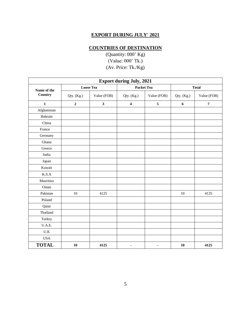#### **EXPORT DURING JULY' 2021**

## **COUNTRIES OF DESTINATION**

|                         | <b>Export during July, 2021</b><br><b>Packet Tea</b><br><b>Loose Tea</b> |              |                              |             |            |                |  |  |  |  |  |  |  |
|-------------------------|--------------------------------------------------------------------------|--------------|------------------------------|-------------|------------|----------------|--|--|--|--|--|--|--|
| Name of the             |                                                                          |              |                              |             |            | <b>Total</b>   |  |  |  |  |  |  |  |
| Country                 | Qty. (Kg.)                                                               | Value (FOB)  | Qty. (Kg.)                   | Value (FOB) | Qty. (Kg.) | Value (FOB)    |  |  |  |  |  |  |  |
| $\mathbf{1}$            | $\mathbf 2$                                                              | $\mathbf{3}$ | $\overline{\mathbf{4}}$      | 5           | 6          | $\overline{7}$ |  |  |  |  |  |  |  |
| Afghanistan             |                                                                          |              |                              |             |            |                |  |  |  |  |  |  |  |
| Bahrain                 |                                                                          |              |                              |             |            |                |  |  |  |  |  |  |  |
| China                   |                                                                          |              |                              |             |            |                |  |  |  |  |  |  |  |
| France                  |                                                                          |              |                              |             |            |                |  |  |  |  |  |  |  |
| Germany                 |                                                                          |              |                              |             |            |                |  |  |  |  |  |  |  |
| Ghana                   |                                                                          |              |                              |             |            |                |  |  |  |  |  |  |  |
| Greece                  |                                                                          |              |                              |             |            |                |  |  |  |  |  |  |  |
| India                   |                                                                          |              |                              |             |            |                |  |  |  |  |  |  |  |
| Japan                   |                                                                          |              |                              |             |            |                |  |  |  |  |  |  |  |
| Kuwait                  |                                                                          |              |                              |             |            |                |  |  |  |  |  |  |  |
| K.S.A                   |                                                                          |              |                              |             |            |                |  |  |  |  |  |  |  |
| Mauritius               |                                                                          |              |                              |             |            |                |  |  |  |  |  |  |  |
| Oman                    |                                                                          |              |                              |             |            |                |  |  |  |  |  |  |  |
| Pakistan                | 10                                                                       | 4125         |                              |             | 10         | 4125           |  |  |  |  |  |  |  |
| Poland                  |                                                                          |              |                              |             |            |                |  |  |  |  |  |  |  |
| Qatar                   |                                                                          |              |                              |             |            |                |  |  |  |  |  |  |  |
| Thailand                |                                                                          |              |                              |             |            |                |  |  |  |  |  |  |  |
| Turkey                  |                                                                          |              |                              |             |            |                |  |  |  |  |  |  |  |
| U.A.E.                  |                                                                          |              |                              |             |            |                |  |  |  |  |  |  |  |
| $\mathbf{U}.\mathbf{K}$ |                                                                          |              |                              |             |            |                |  |  |  |  |  |  |  |
| <b>USA</b>              |                                                                          |              |                              |             |            |                |  |  |  |  |  |  |  |
| <b>TOTAL</b>            | 10                                                                       | 4125         | $\qquad \qquad \blacksquare$ | ٠           | 10         | 4125           |  |  |  |  |  |  |  |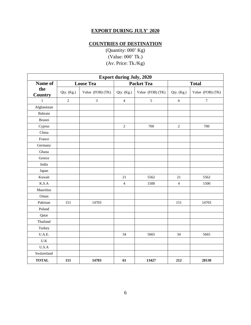# **EXPORT DURING JULY' 2020**

# **COUNTRIES OF DESTINATION**

| <b>Export during July, 2020</b> |                |                  |                |                   |                |                  |  |  |  |  |  |
|---------------------------------|----------------|------------------|----------------|-------------------|----------------|------------------|--|--|--|--|--|
| Name of                         |                | <b>Loose Tea</b> |                | <b>Packet Tea</b> |                | <b>Total</b>     |  |  |  |  |  |
| the<br><b>Country</b>           | Qty. (Kg.)     | Value (FOB) (TK) | Qty. (Kg.)     | Value (FOB) (TK)  | Qty. (Kg.)     | Value (FOB) (TK) |  |  |  |  |  |
| $\mathbf{1}$                    | $\overline{2}$ | $\overline{3}$   | $\overline{4}$ | 5                 | $\sqrt{6}$     | $\boldsymbol{7}$ |  |  |  |  |  |
| Afghanistan                     |                |                  |                |                   |                |                  |  |  |  |  |  |
| Bahrain                         |                |                  |                |                   |                |                  |  |  |  |  |  |
| <b>Brunei</b>                   |                |                  |                |                   |                |                  |  |  |  |  |  |
| Cyprus                          |                |                  | $\sqrt{2}$     | 700               | $\sqrt{2}$     | 700              |  |  |  |  |  |
| China                           |                |                  |                |                   |                |                  |  |  |  |  |  |
| France                          |                |                  |                |                   |                |                  |  |  |  |  |  |
| Germany                         |                |                  |                |                   |                |                  |  |  |  |  |  |
| Ghana                           |                |                  |                |                   |                |                  |  |  |  |  |  |
| Greece                          |                |                  |                |                   |                |                  |  |  |  |  |  |
| India                           |                |                  |                |                   |                |                  |  |  |  |  |  |
| Japan                           |                |                  |                |                   |                |                  |  |  |  |  |  |
| Kuwait                          |                |                  | 21             | 5562              | 21             | 5562             |  |  |  |  |  |
| K.S.A                           |                |                  | $\overline{4}$ | 1500              | $\overline{4}$ | 1500             |  |  |  |  |  |
| Mauritius                       |                |                  |                |                   |                |                  |  |  |  |  |  |
| Oman                            |                |                  |                |                   |                |                  |  |  |  |  |  |
| Pakistan                        | 151            | 14703            |                |                   | 151            | 14703            |  |  |  |  |  |
| Poland                          |                |                  |                |                   |                |                  |  |  |  |  |  |
| Qatar                           |                |                  |                |                   |                |                  |  |  |  |  |  |
| Thailand                        |                |                  |                |                   |                |                  |  |  |  |  |  |
| Turkey                          |                |                  |                |                   |                |                  |  |  |  |  |  |
| U.A.E.                          |                |                  | 34             | 5665              | 34             | 5665             |  |  |  |  |  |
| $U.K$                           |                |                  |                |                   |                |                  |  |  |  |  |  |
| U.S.A                           |                |                  |                |                   |                |                  |  |  |  |  |  |
| Switzerland                     |                |                  |                |                   |                |                  |  |  |  |  |  |
| <b>TOTAL</b>                    | 151            | 14703            | 61             | 13427             | 212            | 28130            |  |  |  |  |  |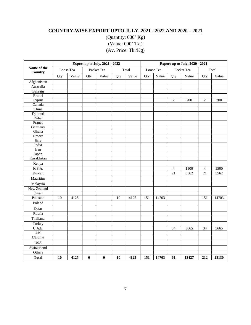## **COUNTRY-WISE EXPORT UPTO JULY, 2021 - 2022 AND 2020 – 2021**

|                        |     | Export up to July, 2021 - 2022 |          |            |     |       |     | Export up to July, 2020 - 2021 |                |            |                |       |  |
|------------------------|-----|--------------------------------|----------|------------|-----|-------|-----|--------------------------------|----------------|------------|----------------|-------|--|
| Name of the<br>Country |     | Loose Tea                      |          | Packet Tea |     | Total |     | Loose Tea                      |                | Packet Tea |                | Total |  |
|                        | Qty | Value                          | Qty      | Value      | Qty | Value | Qty | Value                          | Qty            | Value      | Qty            | Value |  |
| Afghanistan            |     |                                |          |            |     |       |     |                                |                |            |                |       |  |
| Australia              |     |                                |          |            |     |       |     |                                |                |            |                |       |  |
| Bahrain                |     |                                |          |            |     |       |     |                                |                |            |                |       |  |
| Brunei                 |     |                                |          |            |     |       |     |                                |                |            |                |       |  |
| Cyprus                 |     |                                |          |            |     |       |     |                                | $\overline{2}$ | 700        | $\mathbf{2}$   | 700   |  |
| Canada                 |     |                                |          |            |     |       |     |                                |                |            |                |       |  |
| China                  |     |                                |          |            |     |       |     |                                |                |            |                |       |  |
| Djibouti               |     |                                |          |            |     |       |     |                                |                |            |                |       |  |
| Dubai                  |     |                                |          |            |     |       |     |                                |                |            |                |       |  |
| France                 |     |                                |          |            |     |       |     |                                |                |            |                |       |  |
| Germany                |     |                                |          |            |     |       |     |                                |                |            |                |       |  |
| Ghana                  |     |                                |          |            |     |       |     |                                |                |            |                |       |  |
| Greece                 |     |                                |          |            |     |       |     |                                |                |            |                |       |  |
| Italy                  |     |                                |          |            |     |       |     |                                |                |            |                |       |  |
| India                  |     |                                |          |            |     |       |     |                                |                |            |                |       |  |
| Iran                   |     |                                |          |            |     |       |     |                                |                |            |                |       |  |
| Japan                  |     |                                |          |            |     |       |     |                                |                |            |                |       |  |
| Kazakhstan             |     |                                |          |            |     |       |     |                                |                |            |                |       |  |
| Kenya                  |     |                                |          |            |     |       |     |                                |                |            |                |       |  |
| K.S.A.                 |     |                                |          |            |     |       |     |                                | $\overline{4}$ | 1500       | $\overline{4}$ | 1500  |  |
| Kuwait                 |     |                                |          |            |     |       |     |                                | 21             | 5562       | 21             | 5562  |  |
| Mauritius              |     |                                |          |            |     |       |     |                                |                |            |                |       |  |
| Malaysia               |     |                                |          |            |     |       |     |                                |                |            |                |       |  |
| New Zealand            |     |                                |          |            |     |       |     |                                |                |            |                |       |  |
| Oman                   |     |                                |          |            |     |       |     |                                |                |            |                |       |  |
| Pakistan               | 10  | 4125                           |          |            | 10  | 4125  | 151 | 14703                          |                |            | 151            | 14703 |  |
| Poland                 |     |                                |          |            |     |       |     |                                |                |            |                |       |  |
| Qatar                  |     |                                |          |            |     |       |     |                                |                |            |                |       |  |
| Russia                 |     |                                |          |            |     |       |     |                                |                |            |                |       |  |
| Thailand               |     |                                |          |            |     |       |     |                                |                |            |                |       |  |
| Turkey                 |     |                                |          |            |     |       |     |                                |                |            |                |       |  |
| U.A.E.                 |     |                                |          |            |     |       |     |                                | 34             | 5665       | 34             | 5665  |  |
| $\overline{U.K.}$      |     |                                |          |            |     |       |     |                                |                |            |                |       |  |
| Ukraine                |     |                                |          |            |     |       |     |                                |                |            |                |       |  |
| <b>USA</b>             |     |                                |          |            |     |       |     |                                |                |            |                |       |  |
| Switzerland            |     |                                |          |            |     |       |     |                                |                |            |                |       |  |
| Others                 |     |                                |          |            |     |       |     |                                |                |            |                |       |  |
| <b>Total</b>           | 10  | 4125                           | $\bf{0}$ | $\bf{0}$   | 10  | 4125  | 151 | 14703                          | 61             | 13427      | 212            | 28130 |  |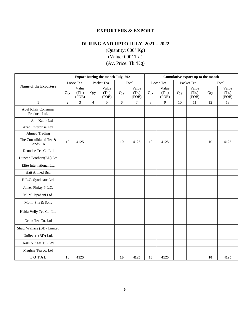#### **EXPORTERS & EXPORT**

## **DURING AND UPTO JULY, 2021 – 2022**

|                                      | <b>Export During the month July, 2021</b> |                         |                |                         |     |                         | Cumulative export up to the month |                         |     |                         |     |                         |
|--------------------------------------|-------------------------------------------|-------------------------|----------------|-------------------------|-----|-------------------------|-----------------------------------|-------------------------|-----|-------------------------|-----|-------------------------|
|                                      |                                           | Loose Tea               |                | Packet Tea              |     | Total                   |                                   | Loose Tea               |     | Packet Tea              |     | Total                   |
| Name of the Exporters                | Qty                                       | Value<br>(Tk.)<br>(FOB) | Qty            | Value<br>(Tk.)<br>(FOB) | Qty | Value<br>(Tk.)<br>(FOB) | Qty                               | Value<br>(Tk.)<br>(FOB) | Qty | Value<br>(Tk.)<br>(FOB) | Qty | Value<br>(Tk.)<br>(FOB) |
| $\mathbf{1}$                         | $\overline{2}$                            | 3                       | $\overline{4}$ | 5                       | 6   | $\tau$                  | 8                                 | 9                       | 10  | 11                      | 12  | 13                      |
| Abul Khair Consumer<br>Products Ltd. |                                           |                         |                |                         |     |                         |                                   |                         |     |                         |     |                         |
| A. Kabir Ltd                         |                                           |                         |                |                         |     |                         |                                   |                         |     |                         |     |                         |
| Azad Enterprise Ltd.                 |                                           |                         |                |                         |     |                         |                                   |                         |     |                         |     |                         |
| <b>Ahmad Trading</b>                 |                                           |                         |                |                         |     |                         |                                   |                         |     |                         |     |                         |
| The Consolidated Tea &<br>Lands Co.  | 10                                        | 4125                    |                |                         | 10  | 4125                    | 10                                | 4125                    |     |                         | 10  | 4125                    |
| Deundee Tea Co.Ltd                   |                                           |                         |                |                         |     |                         |                                   |                         |     |                         |     |                         |
| Duncan Brothers(BD) Ltd              |                                           |                         |                |                         |     |                         |                                   |                         |     |                         |     |                         |
| Elite International Ltd              |                                           |                         |                |                         |     |                         |                                   |                         |     |                         |     |                         |
| Haji Ahmed Brs.                      |                                           |                         |                |                         |     |                         |                                   |                         |     |                         |     |                         |
| H.R.C. Syndicate Ltd.                |                                           |                         |                |                         |     |                         |                                   |                         |     |                         |     |                         |
| James Finlay P.L.C.                  |                                           |                         |                |                         |     |                         |                                   |                         |     |                         |     |                         |
| M. M. Ispahani Ltd.                  |                                           |                         |                |                         |     |                         |                                   |                         |     |                         |     |                         |
| Monir Sha & Sons                     |                                           |                         |                |                         |     |                         |                                   |                         |     |                         |     |                         |
| Halda Velly Tea Co. Ltd              |                                           |                         |                |                         |     |                         |                                   |                         |     |                         |     |                         |
| Orion Tea Co. Ltd                    |                                           |                         |                |                         |     |                         |                                   |                         |     |                         |     |                         |
| Shaw Wallace (BD) Limited            |                                           |                         |                |                         |     |                         |                                   |                         |     |                         |     |                         |
| Unilever (BD) Ltd.                   |                                           |                         |                |                         |     |                         |                                   |                         |     |                         |     |                         |
| Kazi & Kazi T.E Ltd                  |                                           |                         |                |                         |     |                         |                                   |                         |     |                         |     |                         |
| Meghna Tea co. Ltd                   |                                           |                         |                |                         |     |                         |                                   |                         |     |                         |     |                         |
| TOTAL                                | 10                                        | 4125                    |                |                         | 10  | 4125                    | 10                                | 4125                    |     |                         | 10  | 4125                    |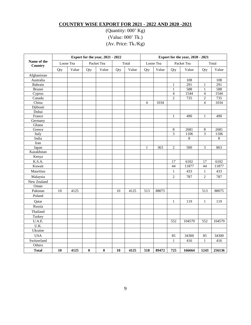#### **COUNTRY WISE EXPORT FOR 2021 - 2022 AND 2020 -2021**

|                        | Export for the year, 2021 - 2022 |       |            |          |       |       |           | Export for the year, 2020 - 2021 |                         |        |                         |        |  |
|------------------------|----------------------------------|-------|------------|----------|-------|-------|-----------|----------------------------------|-------------------------|--------|-------------------------|--------|--|
| Name of the<br>Country | Loose Tea                        |       | Packet Tea |          | Total |       | Loose Tea |                                  | Packet Tea              |        | Total                   |        |  |
|                        | Qty                              | Value | Qty        | Value    | Qty   | Value | Qty       | Value                            | Qty                     | Value  | Qty                     | Value  |  |
| Afghanistan            |                                  |       |            |          |       |       |           |                                  |                         |        |                         |        |  |
| Australia              |                                  |       |            |          |       |       |           |                                  |                         | 108    |                         | 108    |  |
| Bahrain                |                                  |       |            |          |       |       |           |                                  | $\mathbf{1}$            | 291    | $\,1\,$                 | 291    |  |
| Brunei                 |                                  |       |            |          |       |       |           |                                  | $\mathbf{1}$            | 588    | $\mathbf{1}$            | 588    |  |
| Cyprus                 |                                  |       |            |          |       |       |           |                                  | $\overline{\mathbf{4}}$ | 1544   | $\overline{\mathbf{4}}$ | 1544   |  |
| Canada                 |                                  |       |            |          |       |       |           |                                  | $\overline{c}$          | 735    | $\overline{c}$          | 735    |  |
| China                  |                                  |       |            |          |       |       | 4         | 1034                             |                         |        | $\overline{4}$          | 1034   |  |
| Djibouti               |                                  |       |            |          |       |       |           |                                  |                         |        |                         |        |  |
| Dubai                  |                                  |       |            |          |       |       |           |                                  |                         |        |                         |        |  |
| France                 |                                  |       |            |          |       |       |           |                                  | $\mathbf{1}$            | 490    | $\mathbf{1}$            | 490    |  |
| Germany                |                                  |       |            |          |       |       |           |                                  |                         |        |                         |        |  |
| Ghana                  |                                  |       |            |          |       |       |           |                                  |                         |        |                         |        |  |
| Greece                 |                                  |       |            |          |       |       |           |                                  | 8                       | 2681   | 8                       | 2681   |  |
| Italy                  |                                  |       |            |          |       |       |           |                                  | $\overline{3}$          | 1106   | $\overline{3}$          | 1106   |  |
| India                  |                                  |       |            |          |       |       |           |                                  |                         | 8      |                         | 8      |  |
| Iran                   |                                  |       |            |          |       |       |           |                                  |                         |        |                         |        |  |
| Japan                  |                                  |       |            |          |       |       | 1         | 363                              | $\overline{c}$          | 500    | 3                       | 863    |  |
| Kazakhstan             |                                  |       |            |          |       |       |           |                                  |                         |        |                         |        |  |
| Kenya                  |                                  |       |            |          |       |       |           |                                  |                         |        |                         |        |  |
| K.S.A.                 |                                  |       |            |          |       |       |           |                                  | 17                      | 6102   | 17                      | 6102   |  |
| Kuwait                 |                                  |       |            |          |       |       |           |                                  | 44                      | 11877  | 44                      | 11877  |  |
| Mauritius              |                                  |       |            |          |       |       |           |                                  | $\mathbf{1}$            | 433    | $\mathbf{1}$            | 433    |  |
| Malaysia               |                                  |       |            |          |       |       |           |                                  | $\overline{c}$          | 787    | $\overline{c}$          | 787    |  |
| New Zealand            |                                  |       |            |          |       |       |           |                                  |                         |        |                         |        |  |
| Oman                   |                                  |       |            |          |       |       |           |                                  |                         |        |                         |        |  |
| Pakistan               | 10                               | 4125  |            |          | 10    | 4125  | 513       | 88075                            |                         |        | 513                     | 88075  |  |
| Poland                 |                                  |       |            |          |       |       |           |                                  |                         |        |                         |        |  |
| Qatar                  |                                  |       |            |          |       |       |           |                                  | $\mathbf{1}$            | 119    | $\mathbf{1}$            | 119    |  |
| Russia                 |                                  |       |            |          |       |       |           |                                  |                         |        |                         |        |  |
| Thailand               |                                  |       |            |          |       |       |           |                                  |                         |        |                         |        |  |
| Turkey                 |                                  |       |            |          |       |       |           |                                  |                         |        |                         |        |  |
| U.A.E.                 |                                  |       |            |          |       |       |           |                                  | 552                     | 104579 | 552                     | 104579 |  |
| $\overline{U.K.}$      |                                  |       |            |          |       |       |           |                                  |                         |        |                         |        |  |
| Ukraine                |                                  |       |            |          |       |       |           |                                  |                         |        |                         |        |  |
| <b>USA</b>             |                                  |       |            |          |       |       |           |                                  | 85                      | 34300  | 85                      | 34300  |  |
| Switzerland            |                                  |       |            |          |       |       |           |                                  | $\mathbf{1}$            | 416    | $\mathbf{1}$            | 416    |  |
| Others                 |                                  |       |            |          |       |       |           |                                  |                         |        |                         |        |  |
| <b>Total</b>           | 10                               | 4125  | $\bf{0}$   | $\bf{0}$ | 10    | 4125  | 518       | 89472                            | 725                     | 166664 | 1243                    | 256136 |  |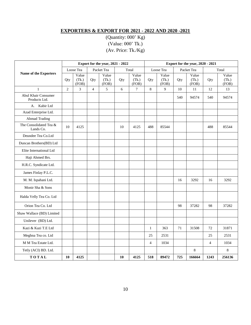# **EXPORTERS & EXPORT FOR 2021 - 2022 AND 2020 -2021**

|                                      | Export for the year, 2021 - 2022 |                         |                |                         |       |                         |                | Export for the year, 2020 - 2021 |            |                         |                |                         |  |
|--------------------------------------|----------------------------------|-------------------------|----------------|-------------------------|-------|-------------------------|----------------|----------------------------------|------------|-------------------------|----------------|-------------------------|--|
|                                      | Loose Tea                        |                         | Packet Tea     |                         | Total |                         | Loose Tea      |                                  | Packet Tea |                         | Total          |                         |  |
| Name of the Exporters                | Qty                              | Value<br>(Tk.)<br>(FOB) | Qty            | Value<br>(Tk.)<br>(FOB) | Qty   | Value<br>(Tk.)<br>(FOB) | Qty            | Value<br>(Tk.)<br>(FOB)          | Qty        | Value<br>(Tk.)<br>(FOB) | Qty            | Value<br>(Tk.)<br>(FOB) |  |
| $\mathbf{1}$                         | $\overline{2}$                   | 3                       | $\overline{4}$ | 5                       | 6     | $\overline{7}$          | 8              | 9                                | 10         | 11                      | 12             | 13                      |  |
| Abul Khair Consumer<br>Products Ltd. |                                  |                         |                |                         |       |                         |                |                                  | 540        | 94574                   | 540            | 94574                   |  |
| Kabir Ltd<br>A.                      |                                  |                         |                |                         |       |                         |                |                                  |            |                         |                |                         |  |
| Azad Enterprise Ltd.                 |                                  |                         |                |                         |       |                         |                |                                  |            |                         |                |                         |  |
| <b>Ahmad Trading</b>                 |                                  |                         |                |                         |       |                         |                |                                  |            |                         |                |                         |  |
| The Consolidated Tea &<br>Lands Co.  | 10                               | 4125                    |                |                         | 10    | 4125                    | 488            | 85544                            |            |                         | 488            | 85544                   |  |
| Deundee Tea Co.Ltd                   |                                  |                         |                |                         |       |                         |                |                                  |            |                         |                |                         |  |
| Duncan Brothers(BD) Ltd              |                                  |                         |                |                         |       |                         |                |                                  |            |                         |                |                         |  |
| Elite International Ltd              |                                  |                         |                |                         |       |                         |                |                                  |            |                         |                |                         |  |
| Haji Ahmed Brs.                      |                                  |                         |                |                         |       |                         |                |                                  |            |                         |                |                         |  |
| H.R.C. Syndicate Ltd.                |                                  |                         |                |                         |       |                         |                |                                  |            |                         |                |                         |  |
| James Finlay P.L.C.                  |                                  |                         |                |                         |       |                         |                |                                  |            |                         |                |                         |  |
| M. M. Ispahani Ltd.                  |                                  |                         |                |                         |       |                         |                |                                  | 16         | 3292                    | 16             | 3292                    |  |
| Monir Sha & Sons                     |                                  |                         |                |                         |       |                         |                |                                  |            |                         |                |                         |  |
| Halda Velly Tea Co. Ltd              |                                  |                         |                |                         |       |                         |                |                                  |            |                         |                |                         |  |
| Orion Tea Co. Ltd                    |                                  |                         |                |                         |       |                         |                |                                  | 98         | 37282                   | 98             | 37282                   |  |
| Shaw Wallace (BD) Limited            |                                  |                         |                |                         |       |                         |                |                                  |            |                         |                |                         |  |
| Unilever (BD) Ltd.                   |                                  |                         |                |                         |       |                         |                |                                  |            |                         |                |                         |  |
| Kazi & Kazi T.E Ltd                  |                                  |                         |                |                         |       |                         | $\mathbf{1}$   | 363                              | 71         | 31508                   | 72             | 31871                   |  |
| Meghna Tea co. Ltd                   |                                  |                         |                |                         |       |                         | 25             | 2531                             |            |                         | 25             | 2531                    |  |
| M M Tea Estate Ltd.                  |                                  |                         |                |                         |       |                         | $\overline{4}$ | 1034                             |            |                         | $\overline{4}$ | 1034                    |  |
| Tetly (ACI) BD. Ltd.                 |                                  |                         |                |                         |       |                         |                |                                  |            | 8                       |                | 8                       |  |
| TOTAL                                | 10                               | 4125                    |                |                         | 10    | 4125                    | 518            | 89472                            | 725        | 166664                  | 1243           | 256136                  |  |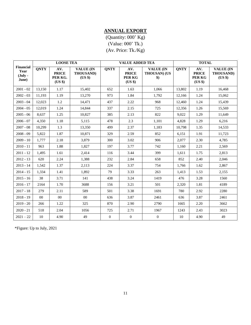# **ANNUAL EXPORT**

(Quantity: 000' Kg) (Value: 000' Tk.) (Av. Price: Tk./Kg)

|                                                         |             | <b>LOOSE TEA</b>                          |                                                 | <b>TOTAL</b><br><b>VALUE ADDED TEA</b> |                                          |                                                               |             |                                          |                                          |  |  |
|---------------------------------------------------------|-------------|-------------------------------------------|-------------------------------------------------|----------------------------------------|------------------------------------------|---------------------------------------------------------------|-------------|------------------------------------------|------------------------------------------|--|--|
| <b>Financial</b><br>Year<br>$(\mathbf{July} -$<br>June) | <b>QNTY</b> | AV.<br><b>PRICE</b><br>PER KG.<br>(US \$) | <b>VALUE (IN</b><br><b>THOUSAND)</b><br>$(US \$ | <b>QNTY</b>                            | AV.<br><b>PRICE</b><br>PER KG<br>$(US \$ | <b>VALUE (IN</b><br><b>THOUSAN) (US</b><br>$\boldsymbol{\$})$ | <b>QNTY</b> | AV.<br><b>PRICE</b><br>PER KG<br>(US \$) | <b>VALUE (IN</b><br>THOUSAND)<br>(US \$) |  |  |
| $2001 - 02$                                             | 13,150      | 1.17                                      | 15,402                                          | 652                                    | 1.63                                     | 1.066                                                         | 13,802      | 1.19                                     | 16,468                                   |  |  |
| $2002 - 03$                                             | 11,193      | 1.19                                      | 13,270                                          | 973                                    | 1.84                                     | 1,792                                                         | 12,166      | 1.24                                     | 15,062                                   |  |  |
| $2003 - 04$                                             | 12,023      | 1.2                                       | 14,471                                          | 437                                    | 2.22                                     | 968                                                           | 12,460      | 1.24                                     | 15,439                                   |  |  |
| $2004 - 05$                                             | 12,019      | 1.24                                      | 14,844                                          | 337                                    | 2.15                                     | 725                                                           | 12,356      | 1.26                                     | 15,569                                   |  |  |
| $2005 - 06$                                             | 8,637       | 1.25                                      | 10,827                                          | 385                                    | 2.13                                     | 822                                                           | 9,022       | 1.29                                     | 11,649                                   |  |  |
| $2006 - 07$                                             | 4,350       | 1.18                                      | 5,115                                           | 478                                    | 2.3                                      | 1,101                                                         | 4,828       | 1.29                                     | 6,216                                    |  |  |
| $2007 - 08$                                             | 10,299      | 1.3                                       | 13,350                                          | 499                                    | 2.37                                     | 1,183                                                         | 10,798      | 1.35                                     | 14,533                                   |  |  |
| $2008 - 09$                                             | 5,822       | 1.87                                      | 10.871                                          | 329                                    | 2.59                                     | 852                                                           | 6,151       | 1.91                                     | 11,723                                   |  |  |
| $2009 - 10$                                             | 1,777       | 2.18                                      | 3,879                                           | 300                                    | 3.02                                     | 906                                                           | 2,077       | 2.30                                     | 4,785                                    |  |  |
| $2010 - 11$                                             | 963         | 1.88                                      | 1,827                                           | 197                                    | 3.77                                     | 742                                                           | 1,160       | 2.21                                     | 2,569                                    |  |  |
| $2011 - 12$                                             | 1,495       | 1.61                                      | 2,414                                           | 116                                    | 3.44                                     | 399                                                           | 1,611       | 1.75                                     | 2,813                                    |  |  |
| $2012 - 13$                                             | 620         | 2.24                                      | 1,388                                           | 232                                    | 2.84                                     | 658                                                           | 852         | 2.40                                     | 2,046                                    |  |  |
| $2013 - 14$                                             | 1,542       | 1.37                                      | 2,113                                           | 224                                    | 3.37                                     | 754                                                           | 1,766       | 1.62                                     | 2,867                                    |  |  |
| $2014 - 15$                                             | 1,334       | 1.41                                      | 1,892                                           | 79                                     | 3.33                                     | 263                                                           | 1,413       | 1.53                                     | 2,155                                    |  |  |
| $2015 - 16$                                             | 38          | 3.71                                      | 141                                             | 438                                    | 3.24                                     | 1419                                                          | 476         | 3.28                                     | 1560                                     |  |  |
| $2016 - 17$                                             | 2164        | 1.70                                      | 3688                                            | 156                                    | 3.21                                     | 501                                                           | 2,320       | 1.81                                     | 4189                                     |  |  |
| $2017 - 18$                                             | 279         | 2.11                                      | 589                                             | 501                                    | 3.38                                     | 1691                                                          | 780         | 2.92                                     | 2280                                     |  |  |
| $2018 - 19$                                             | $00\,$      | $00\,$                                    | $00\,$                                          | 636                                    | 3.87                                     | 2461                                                          | 636         | 3.87                                     | 2461                                     |  |  |
| $2019 - 20$                                             | 266         | 1.22                                      | 325                                             | 870                                    | 2.90                                     | 2790                                                          | 1665        | 2.20                                     | 3662                                     |  |  |
| $2020 - 21$                                             | 518         | 2.04                                      | 1056                                            | 725                                    | 2.71                                     | 1967                                                          | 1243        | 2.43                                     | 3023                                     |  |  |
| $2021 - 22$                                             | 10          | 4.90                                      | 49                                              | $\mathbf{0}$                           | $\mathbf{0}$                             | $\boldsymbol{0}$                                              | 10          | 4.90                                     | 49                                       |  |  |

\*Figure: Up to July, 2021